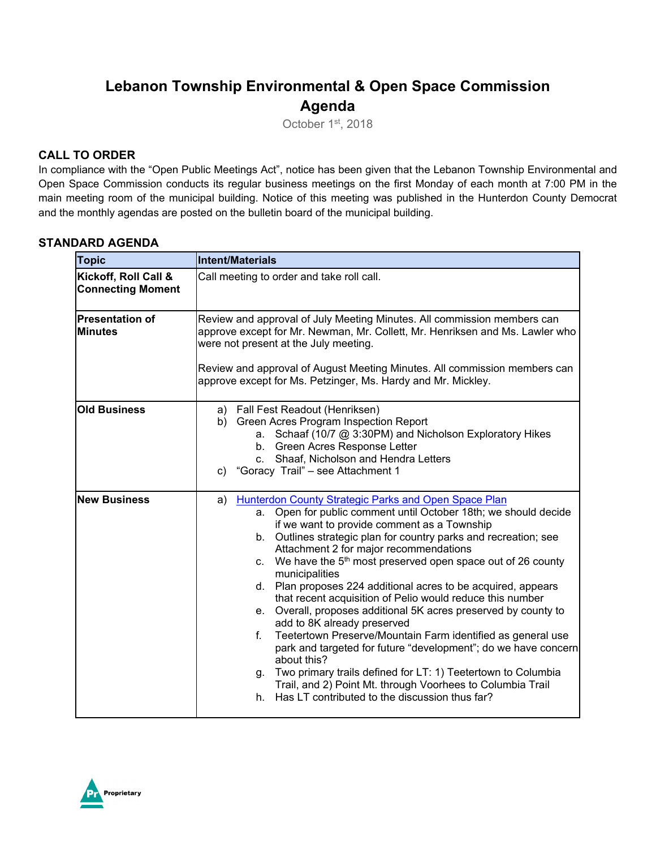## **Lebanon Township Environmental & Open Space Commission Agenda**

October 1st, 2018

#### **CALL TO ORDER**

In compliance with the "Open Public Meetings Act", notice has been given that the Lebanon Township Environmental and Open Space Commission conducts its regular business meetings on the first Monday of each month at 7:00 PM in the main meeting room of the municipal building. Notice of this meeting was published in the Hunterdon County Democrat and the monthly agendas are posted on the bulletin board of the municipal building.

#### **STANDARD AGENDA**

| <b>Topic</b>                                     | Intent/Materials                                                                                                                                                                                                                                                                                                                                                                                                                                                                                                                                                                                                                                                                                                                                                                                                                                                                                                                                                                |
|--------------------------------------------------|---------------------------------------------------------------------------------------------------------------------------------------------------------------------------------------------------------------------------------------------------------------------------------------------------------------------------------------------------------------------------------------------------------------------------------------------------------------------------------------------------------------------------------------------------------------------------------------------------------------------------------------------------------------------------------------------------------------------------------------------------------------------------------------------------------------------------------------------------------------------------------------------------------------------------------------------------------------------------------|
| Kickoff, Roll Call &<br><b>Connecting Moment</b> | Call meeting to order and take roll call.                                                                                                                                                                                                                                                                                                                                                                                                                                                                                                                                                                                                                                                                                                                                                                                                                                                                                                                                       |
| <b>Presentation of</b><br><b>Minutes</b>         | Review and approval of July Meeting Minutes. All commission members can<br>approve except for Mr. Newman, Mr. Collett, Mr. Henriksen and Ms. Lawler who<br>were not present at the July meeting.<br>Review and approval of August Meeting Minutes. All commission members can<br>approve except for Ms. Petzinger, Ms. Hardy and Mr. Mickley.                                                                                                                                                                                                                                                                                                                                                                                                                                                                                                                                                                                                                                   |
| <b>Old Business</b>                              | a) Fall Fest Readout (Henriksen)<br>b) Green Acres Program Inspection Report<br>a. Schaaf (10/7 @ 3:30PM) and Nicholson Exploratory Hikes<br>b. Green Acres Response Letter<br>c. Shaaf, Nicholson and Hendra Letters<br>c) "Goracy Trail" - see Attachment 1                                                                                                                                                                                                                                                                                                                                                                                                                                                                                                                                                                                                                                                                                                                   |
| <b>New Business</b>                              | <b>Hunterdon County Strategic Parks and Open Space Plan</b><br>a)<br>a. Open for public comment until October 18th; we should decide<br>if we want to provide comment as a Township<br>b. Outlines strategic plan for country parks and recreation; see<br>Attachment 2 for major recommendations<br>We have the 5 <sup>th</sup> most preserved open space out of 26 county<br>C.<br>municipalities<br>d. Plan proposes 224 additional acres to be acquired, appears<br>that recent acquisition of Pelio would reduce this number<br>e. Overall, proposes additional 5K acres preserved by county to<br>add to 8K already preserved<br>f.<br>Teetertown Preserve/Mountain Farm identified as general use<br>park and targeted for future "development"; do we have concern<br>about this?<br>g. Two primary trails defined for LT: 1) Teetertown to Columbia<br>Trail, and 2) Point Mt. through Voorhees to Columbia Trail<br>h. Has LT contributed to the discussion thus far? |

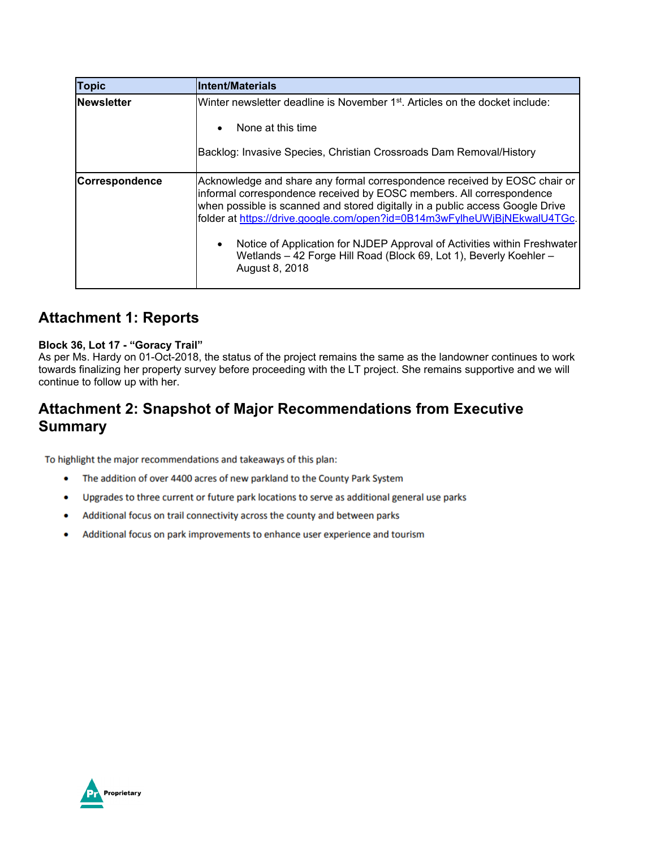| <b>Topic</b>          | <b>Intent/Materials</b>                                                                                                                                                                                                                                                                                                                                                                                                                                                                         |
|-----------------------|-------------------------------------------------------------------------------------------------------------------------------------------------------------------------------------------------------------------------------------------------------------------------------------------------------------------------------------------------------------------------------------------------------------------------------------------------------------------------------------------------|
| <b>Newsletter</b>     | Winter newsletter deadline is November 1st. Articles on the docket include:<br>None at this time<br>$\bullet$<br>Backlog: Invasive Species, Christian Crossroads Dam Removal/History                                                                                                                                                                                                                                                                                                            |
| <b>Correspondence</b> | Acknowledge and share any formal correspondence received by EOSC chair or<br>informal correspondence received by EOSC members. All correspondence<br>when possible is scanned and stored digitally in a public access Google Drive<br>folder at https://drive.google.com/open?id=0B14m3wFylheUWjBjNEkwalU4TGc.<br>Notice of Application for NJDEP Approval of Activities within Freshwater<br>$\bullet$<br>Wetlands - 42 Forge Hill Road (Block 69, Lot 1), Beverly Koehler -<br>August 8, 2018 |

### **Attachment 1: Reports**

#### **Block 36, Lot 17 - "Goracy Trail"**

As per Ms. Hardy on 01-Oct-2018, the status of the project remains the same as the landowner continues to work towards finalizing her property survey before proceeding with the LT project. She remains supportive and we will continue to follow up with her.

### **Attachment 2: Snapshot of Major Recommendations from Executive Summary**

To highlight the major recommendations and takeaways of this plan:

- The addition of over 4400 acres of new parkland to the County Park System  $\bullet$
- ۰ Upgrades to three current or future park locations to serve as additional general use parks
- Additional focus on trail connectivity across the county and between parks ۰
- Additional focus on park improvements to enhance user experience and tourism ۰

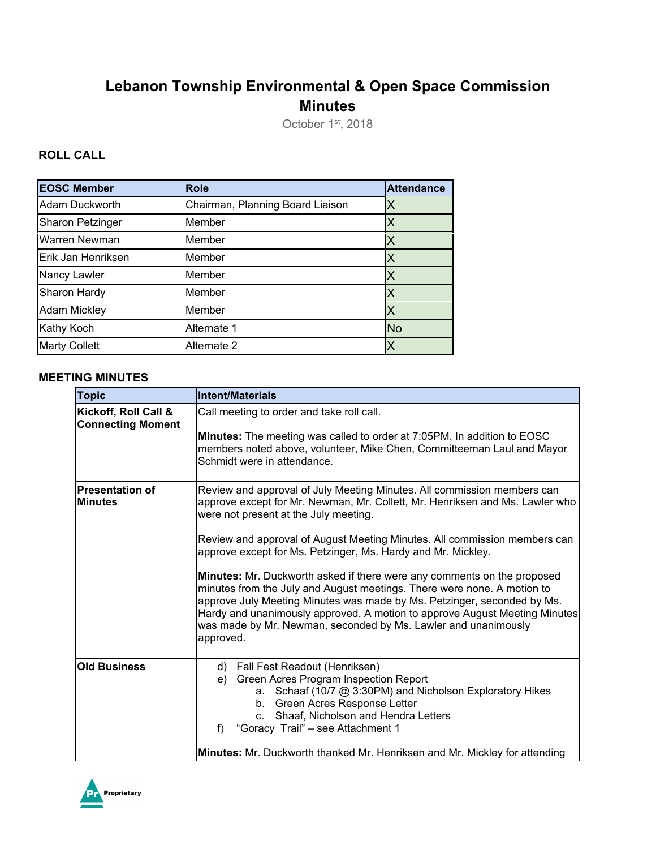# **Lebanon Township Environmental & Open Space Commission Minutes**

October 1st, 2018

### **ROLL CALL**

| <b>EOSC Member</b>      | <b>Role</b>                      | <b>Attendance</b> |
|-------------------------|----------------------------------|-------------------|
| Adam Duckworth          | Chairman, Planning Board Liaison |                   |
| <b>Sharon Petzinger</b> | Member                           |                   |
| Warren Newman           | Member                           |                   |
| Erik Jan Henriksen      | Member                           |                   |
| Nancy Lawler            | Member                           | ΙX                |
| Sharon Hardy            | Member                           |                   |
| <b>Adam Mickley</b>     | Member                           |                   |
| Kathy Koch              | Alternate 1                      | <b>No</b>         |
| <b>Marty Collett</b>    | Alternate 2                      |                   |

#### **MEETING MINUTES**

| <b>Topic</b>                                     | Intent/Materials                                                                                                                                                                                                                                                                                                                                                                                                                                                                                                                                                                                                                                                                                                                            |
|--------------------------------------------------|---------------------------------------------------------------------------------------------------------------------------------------------------------------------------------------------------------------------------------------------------------------------------------------------------------------------------------------------------------------------------------------------------------------------------------------------------------------------------------------------------------------------------------------------------------------------------------------------------------------------------------------------------------------------------------------------------------------------------------------------|
| Kickoff, Roll Call &<br><b>Connecting Moment</b> | Call meeting to order and take roll call.<br>Minutes: The meeting was called to order at 7:05PM. In addition to EOSC<br>members noted above, volunteer, Mike Chen, Committeeman Laul and Mayor<br>Schmidt were in attendance.                                                                                                                                                                                                                                                                                                                                                                                                                                                                                                               |
| <b>Presentation of</b><br><b>Minutes</b>         | Review and approval of July Meeting Minutes. All commission members can<br>approve except for Mr. Newman, Mr. Collett, Mr. Henriksen and Ms. Lawler who<br>were not present at the July meeting.<br>Review and approval of August Meeting Minutes. All commission members can<br>approve except for Ms. Petzinger, Ms. Hardy and Mr. Mickley.<br>Minutes: Mr. Duckworth asked if there were any comments on the proposed<br>minutes from the July and August meetings. There were none. A motion to<br>approve July Meeting Minutes was made by Ms. Petzinger, seconded by Ms.<br>Hardy and unanimously approved. A motion to approve August Meeting Minutes<br>was made by Mr. Newman, seconded by Ms. Lawler and unanimously<br>approved. |
| <b>Old Business</b>                              | Fall Fest Readout (Henriksen)<br>d)<br>Green Acres Program Inspection Report<br>e)<br>a. Schaaf (10/7 @ 3:30PM) and Nicholson Exploratory Hikes<br>b. Green Acres Response Letter<br>Shaaf, Nicholson and Hendra Letters<br>C <sub>1</sub><br>f)<br>"Goracy Trail" - see Attachment 1<br>Minutes: Mr. Duckworth thanked Mr. Henriksen and Mr. Mickley for attending                                                                                                                                                                                                                                                                                                                                                                         |

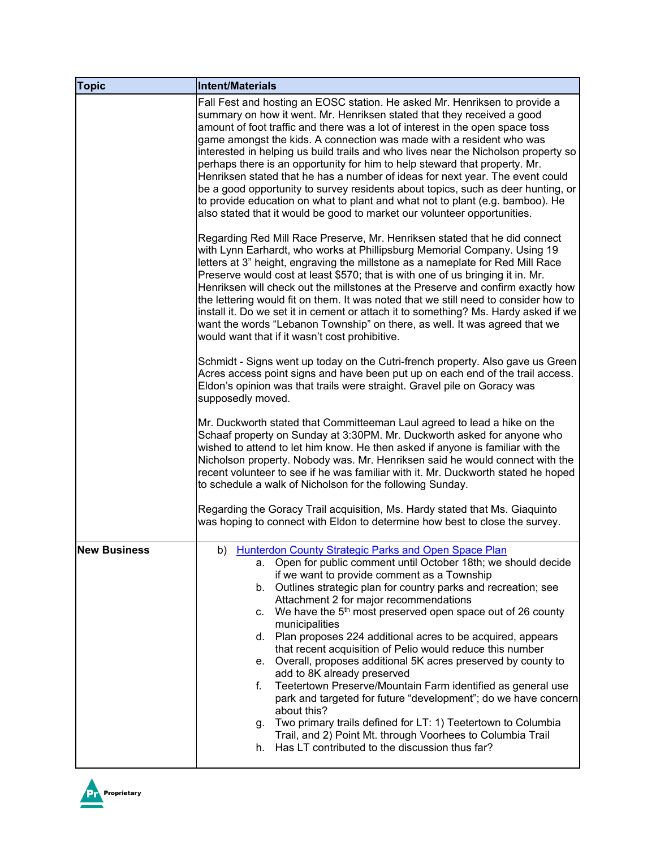| <b>Topic</b>        | Intent/Materials                                                                                                                                                                                                                                                                                                                                                                                                                                                                                                                                                                                                                                                                                                                                                                                                                                                                                                                                                            |
|---------------------|-----------------------------------------------------------------------------------------------------------------------------------------------------------------------------------------------------------------------------------------------------------------------------------------------------------------------------------------------------------------------------------------------------------------------------------------------------------------------------------------------------------------------------------------------------------------------------------------------------------------------------------------------------------------------------------------------------------------------------------------------------------------------------------------------------------------------------------------------------------------------------------------------------------------------------------------------------------------------------|
|                     | Fall Fest and hosting an EOSC station. He asked Mr. Henriksen to provide a<br>summary on how it went. Mr. Henriksen stated that they received a good<br>amount of foot traffic and there was a lot of interest in the open space toss<br>game amongst the kids. A connection was made with a resident who was<br>interested in helping us build trails and who lives near the Nicholson property so<br>perhaps there is an opportunity for him to help steward that property. Mr.<br>Henriksen stated that he has a number of ideas for next year. The event could<br>be a good opportunity to survey residents about topics, such as deer hunting, or<br>to provide education on what to plant and what not to plant (e.g. bamboo). He<br>also stated that it would be good to market our volunteer opportunities.                                                                                                                                                         |
|                     | Regarding Red Mill Race Preserve, Mr. Henriksen stated that he did connect<br>with Lynn Earhardt, who works at Phillipsburg Memorial Company. Using 19<br>letters at 3" height, engraving the millstone as a nameplate for Red Mill Race<br>Preserve would cost at least \$570; that is with one of us bringing it in. Mr.<br>Henriksen will check out the millstones at the Preserve and confirm exactly how<br>the lettering would fit on them. It was noted that we still need to consider how to<br>install it. Do we set it in cement or attach it to something? Ms. Hardy asked if we<br>want the words "Lebanon Township" on there, as well. It was agreed that we<br>would want that if it wasn't cost prohibitive.                                                                                                                                                                                                                                                 |
|                     | Schmidt - Signs went up today on the Cutri-french property. Also gave us Green<br>Acres access point signs and have been put up on each end of the trail access.<br>Eldon's opinion was that trails were straight. Gravel pile on Goracy was<br>supposedly moved.                                                                                                                                                                                                                                                                                                                                                                                                                                                                                                                                                                                                                                                                                                           |
|                     | Mr. Duckworth stated that Committeeman Laul agreed to lead a hike on the<br>Schaaf property on Sunday at 3:30PM. Mr. Duckworth asked for anyone who<br>wished to attend to let him know. He then asked if anyone is familiar with the<br>Nicholson property. Nobody was. Mr. Henriksen said he would connect with the<br>recent volunteer to see if he was familiar with it. Mr. Duckworth stated he hoped<br>to schedule a walk of Nicholson for the following Sunday.                                                                                                                                                                                                                                                                                                                                                                                                                                                                                                     |
|                     | Regarding the Goracy Trail acquisition, Ms. Hardy stated that Ms. Giaquinto<br>was hoping to connect with Eldon to determine how best to close the survey.                                                                                                                                                                                                                                                                                                                                                                                                                                                                                                                                                                                                                                                                                                                                                                                                                  |
| <b>New Business</b> | b) Hunterdon County Strategic Parks and Open Space Plan<br>a. Open for public comment until October 18th; we should decide<br>if we want to provide comment as a Township<br>Outlines strategic plan for country parks and recreation; see<br>b.<br>Attachment 2 for major recommendations<br>We have the 5 <sup>th</sup> most preserved open space out of 26 county<br>C.<br>municipalities<br>d. Plan proposes 224 additional acres to be acquired, appears<br>that recent acquisition of Pelio would reduce this number<br>e. Overall, proposes additional 5K acres preserved by county to<br>add to 8K already preserved<br>Teetertown Preserve/Mountain Farm identified as general use<br>f.<br>park and targeted for future "development"; do we have concern<br>about this?<br>Two primary trails defined for LT: 1) Teetertown to Columbia<br>g.<br>Trail, and 2) Point Mt. through Voorhees to Columbia Trail<br>h. Has LT contributed to the discussion thus far? |

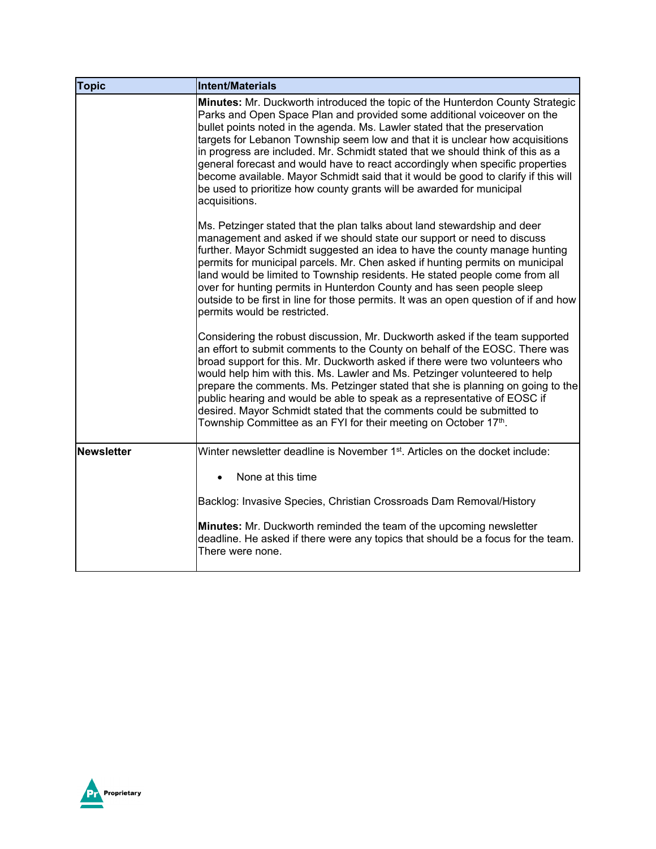| <b>Topic</b>      | <b>Intent/Materials</b>                                                                                                                                                                                                                                                                                                                                                                                                                                                                                                                                                                                                                                                           |
|-------------------|-----------------------------------------------------------------------------------------------------------------------------------------------------------------------------------------------------------------------------------------------------------------------------------------------------------------------------------------------------------------------------------------------------------------------------------------------------------------------------------------------------------------------------------------------------------------------------------------------------------------------------------------------------------------------------------|
|                   | <b>Minutes:</b> Mr. Duckworth introduced the topic of the Hunterdon County Strategic<br>Parks and Open Space Plan and provided some additional voiceover on the<br>bullet points noted in the agenda. Ms. Lawler stated that the preservation<br>targets for Lebanon Township seem low and that it is unclear how acquisitions<br>in progress are included. Mr. Schmidt stated that we should think of this as a<br>general forecast and would have to react accordingly when specific properties<br>become available. Mayor Schmidt said that it would be good to clarify if this will<br>be used to prioritize how county grants will be awarded for municipal<br>acquisitions. |
|                   | Ms. Petzinger stated that the plan talks about land stewardship and deer<br>management and asked if we should state our support or need to discuss<br>further. Mayor Schmidt suggested an idea to have the county manage hunting<br>permits for municipal parcels. Mr. Chen asked if hunting permits on municipal<br>land would be limited to Township residents. He stated people come from all<br>over for hunting permits in Hunterdon County and has seen people sleep<br>outside to be first in line for those permits. It was an open question of if and how<br>permits would be restricted.                                                                                |
|                   | Considering the robust discussion, Mr. Duckworth asked if the team supported<br>an effort to submit comments to the County on behalf of the EOSC. There was<br>broad support for this. Mr. Duckworth asked if there were two volunteers who<br>would help him with this. Ms. Lawler and Ms. Petzinger volunteered to help<br>prepare the comments. Ms. Petzinger stated that she is planning on going to the<br>public hearing and would be able to speak as a representative of EOSC if<br>desired. Mayor Schmidt stated that the comments could be submitted to<br>Township Committee as an FYI for their meeting on October 17 <sup>th</sup> .                                 |
| <b>Newsletter</b> | Winter newsletter deadline is November 1 <sup>st</sup> . Articles on the docket include:                                                                                                                                                                                                                                                                                                                                                                                                                                                                                                                                                                                          |
|                   | None at this time<br>$\bullet$                                                                                                                                                                                                                                                                                                                                                                                                                                                                                                                                                                                                                                                    |
|                   | Backlog: Invasive Species, Christian Crossroads Dam Removal/History                                                                                                                                                                                                                                                                                                                                                                                                                                                                                                                                                                                                               |
|                   | <b>Minutes:</b> Mr. Duckworth reminded the team of the upcoming newsletter<br>deadline. He asked if there were any topics that should be a focus for the team.<br>There were none.                                                                                                                                                                                                                                                                                                                                                                                                                                                                                                |